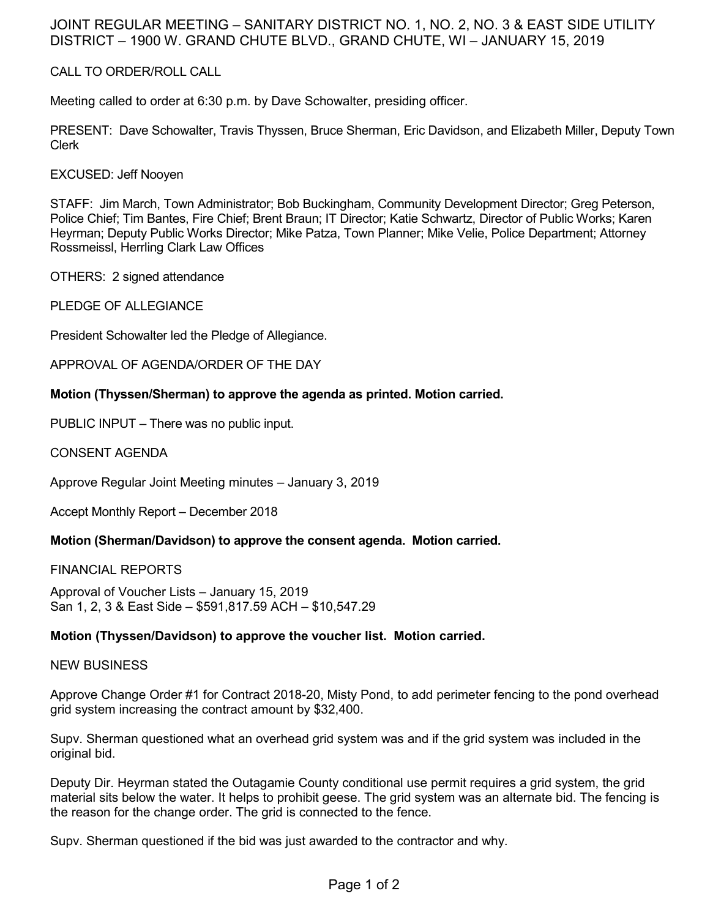# JOINT REGULAR MEETING – SANITARY DISTRICT NO. 1, NO. 2, NO. 3 & EAST SIDE UTILITY DISTRICT – 1900 W. GRAND CHUTE BLVD., GRAND CHUTE, WI – JANUARY 15, 2019

## CALL TO ORDER/ROLL CALL

Meeting called to order at 6:30 p.m. by Dave Schowalter, presiding officer.

PRESENT: Dave Schowalter, Travis Thyssen, Bruce Sherman, Eric Davidson, and Elizabeth Miller, Deputy Town Clerk

EXCUSED: Jeff Nooyen

STAFF: Jim March, Town Administrator; Bob Buckingham, Community Development Director; Greg Peterson, Police Chief; Tim Bantes, Fire Chief; Brent Braun; IT Director; Katie Schwartz, Director of Public Works; Karen Heyrman; Deputy Public Works Director; Mike Patza, Town Planner; Mike Velie, Police Department; Attorney Rossmeissl, Herrling Clark Law Offices

OTHERS: 2 signed attendance

PLEDGE OF ALLEGIANCE

President Schowalter led the Pledge of Allegiance.

APPROVAL OF AGENDA/ORDER OF THE DAY

## **Motion (Thyssen/Sherman) to approve the agenda as printed. Motion carried.**

PUBLIC INPUT – There was no public input.

CONSENT AGENDA

Approve Regular Joint Meeting minutes – January 3, 2019

Accept Monthly Report – December 2018

#### **Motion (Sherman/Davidson) to approve the consent agenda. Motion carried.**

FINANCIAL REPORTS

Approval of Voucher Lists – January 15, 2019 San 1, 2, 3 & East Side – \$591,817.59 ACH – \$10,547.29

## **Motion (Thyssen/Davidson) to approve the voucher list. Motion carried.**

#### NEW BUSINESS

Approve Change Order #1 for Contract 2018-20, Misty Pond, to add perimeter fencing to the pond overhead grid system increasing the contract amount by \$32,400.

Supv. Sherman questioned what an overhead grid system was and if the grid system was included in the original bid.

Deputy Dir. Heyrman stated the Outagamie County conditional use permit requires a grid system, the grid material sits below the water. It helps to prohibit geese. The grid system was an alternate bid. The fencing is the reason for the change order. The grid is connected to the fence.

Supv. Sherman questioned if the bid was just awarded to the contractor and why.